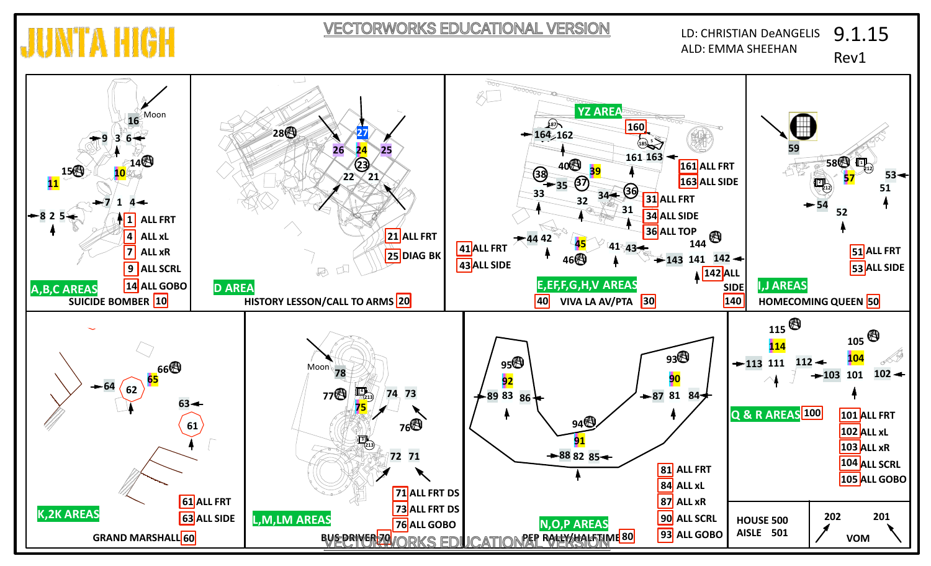VECTORWORKS EDUCATIONAL VERSION

**JUNITA H** 

ALD: EMMA SHEEHAN **LD: CHRISTIAN DeANGELIS** 9.1.15

Rev1

**8**

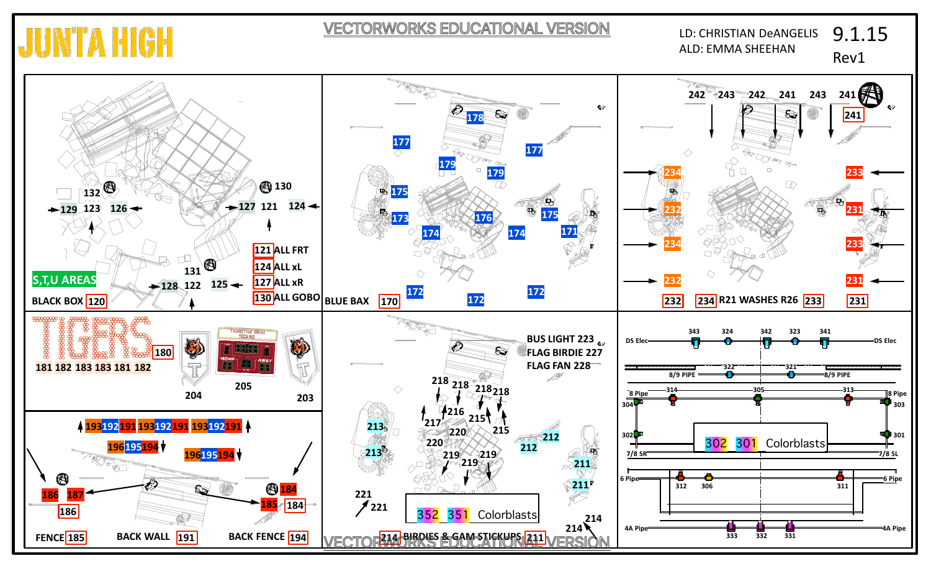## **JUNTA HIG**

VECTORWORKS EDUCATIONAL VERSION

LD: CHRISTIAN DeANGELIS ALD: EMMA SHEEHAN 9.1.15 Rev1

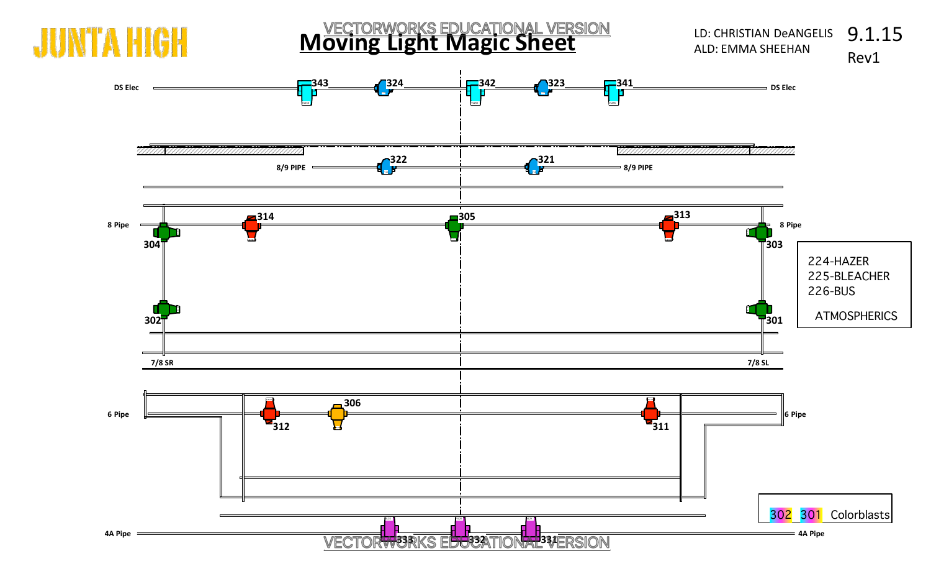